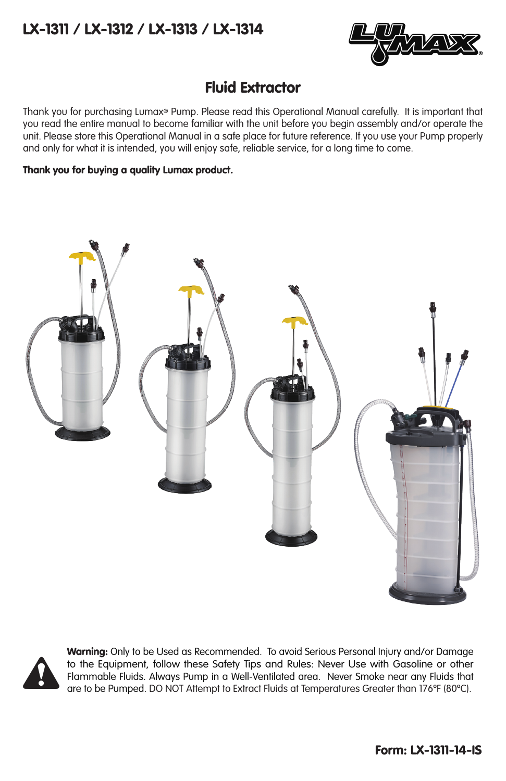## LX-1311 / LX-1312 / LX-1313 / LX-1314



## Fluid Extractor

Thank you for purchasing Lumax® Pump. Please read this Operational Manual carefully. It is important that you read the entire manual to become familiar with the unit before you begin assembly and/or operate the unit. Please store this Operational Manual in a safe place for future reference. If you use your Pump properly and only for what it is intended, you will enjoy safe, reliable service, for a long time to come.

### Thank you for buying a quality Lumax product.





Warning: Only to be Used as Recommended. To avoid Serious Personal Injury and/or Damage to the Equipment, follow these Safety Tips and Rules: Never Use with Gasoline or other<br>Flammable Fluids. Always Pump in a Well-Ventilated area. Never Smoke near any Fluids that<br>are to be Pumped. DO NOT Attempt to Extract F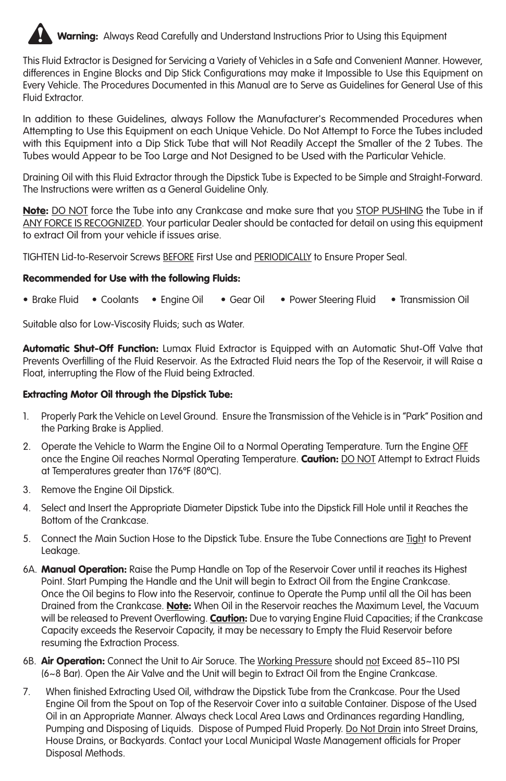

This Fluid Extractor is Designed for Servicing a Variety of Vehicles in a Safe and Convenient Manner. However, differences in Engine Blocks and Dip Stick Configurations may make it Impossible to Use this Equipment on Every Vehicle. The Procedures Documented in this Manual are to Serve as Guidelines for General Use of this Fluid Extractor.

In addition to these Guidelines, always Follow the Manufacturer's Recommended Procedures when Attempting to Use this Equipment on each Unique Vehicle. Do Not Attempt to Force the Tubes included with this Equipment into a Dip Stick Tube that will Not Readily Accept the Smaller of the 2 Tubes. The Tubes would Appear to be Too Large and Not Designed to be Used with the Particular Vehicle.

Draining Oil with this Fluid Extractor through the Dipstick Tube is Expected to be Simple and Straight-Forward. The Instructions were written as a General Guideline Only.

Note: DO NOT force the Tube into any Crankcase and make sure that you STOP PUSHING the Tube in if ANY FORCE IS RECOGNIZED. Your particular Dealer should be contacted for detail on using this equipment to extract Oil from your vehicle if issues arise.

TIGHTEN Lid-to-Reservoir Screws BEFORE First Use and PERIODICALLY to Ensure Proper Seal.

#### Recommended for Use with the following Fluids:

• Brake Fluid • Coolants • Engine Oil • Gear Oil • Power Steering Fluid • Transmission Oil

Suitable also for Low-Viscosity Fluids; such as Water.

Automatic Shut-Off Function: Lumax Fluid Extractor is Equipped with an Automatic Shut-Off Valve that Prevents Overfilling of the Fluid Reservoir. As the Extracted Fluid nears the Top of the Reservoir, it will Raise a Float, interrupting the Flow of the Fluid being Extracted.

#### Extracting Motor Oil through the Dipstick Tube:

- 1. Properly Park the Vehicle on Level Ground. Ensure the Transmission of the Vehicle is in "Park" Position and the Parking Brake is Applied.
- 2. Operate the Vehicle to Warm the Engine Oil to a Normal Operating Temperature. Turn the Engine OFF once the Engine Oil reaches Normal Operating Temperature. Caution: DO NOT Attempt to Extract Fluids at Temperatures greater than 176ºF (80ºC).
- 3. Remove the Engine Oil Dipstick.
- 4. Select and Insert the Appropriate Diameter Dipstick Tube into the Dipstick Fill Hole until it Reaches the Bottom of the Crankcase.
- 5. Connect the Main Suction Hose to the Dipstick Tube. Ensure the Tube Connections are Tight to Prevent Leakage.
- 6A. Manual Operation: Raise the Pump Handle on Top of the Reservoir Cover until it reaches its Highest Point. Start Pumping the Handle and the Unit will begin to Extract Oil from the Engine Crankcase. Once the Oil begins to Flow into the Reservoir, continue to Operate the Pump until all the Oil has been Drained from the Crankcase. Note: When Oil in the Reservoir reaches the Maximum Level, the Vacuum will be released to Prevent Overflowing. Caution: Due to varying Engine Fluid Capacities; if the Crankcase Capacity exceeds the Reservoir Capacity, it may be necessary to Empty the Fluid Reservoir before resuming the Extraction Process.
- 6B. **Air Operation:** Connect the Unit to Air Soruce. The Working Pressure should not Exceed 85~110 PSI (6~8 Bar). Open the Air Valve and the Unit will begin to Extract Oil from the Engine Crankcase.
- 7. When finished Extracting Used Oil, withdraw the Dipstick Tube from the Crankcase. Pour the Used Engine Oil from the Spout on Top of the Reservoir Cover into a suitable Container. Dispose of the Used Oil in an Appropriate Manner. Always check Local Area Laws and Ordinances regarding Handling, Pumping and Disposing of Liquids. Dispose of Pumped Fluid Properly. Do Not Drain into Street Drains, House Drains, or Backyards. Contact your Local Municipal Waste Management officials for Proper Disposal Methods.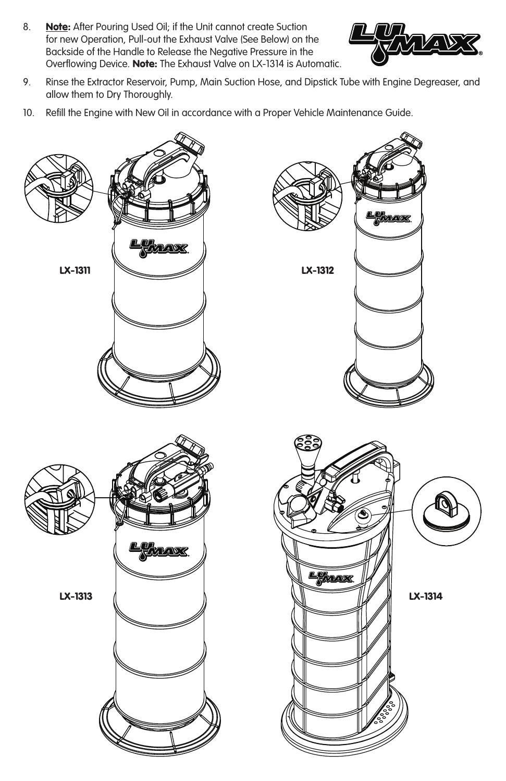8. **Note:** After Pouring Used Oil; if the Unit cannot create Suction for new Operation, Pull-out the Exhaust Valve (See Below) on the Backside of the Handle to Release the Negative Pressure in the Overflowing Device. Note: The Exhaust Valve on LX-1314 is Automatic.



- 9. Rinse the Extractor Reservoir, Pump, Main Suction Hose, and Dipstick Tube with Engine Degreaser, and allow them to Dry Thoroughly.
- 10. Refill the Engine with New Oil in accordance with a Proper Vehicle Maintenance Guide.

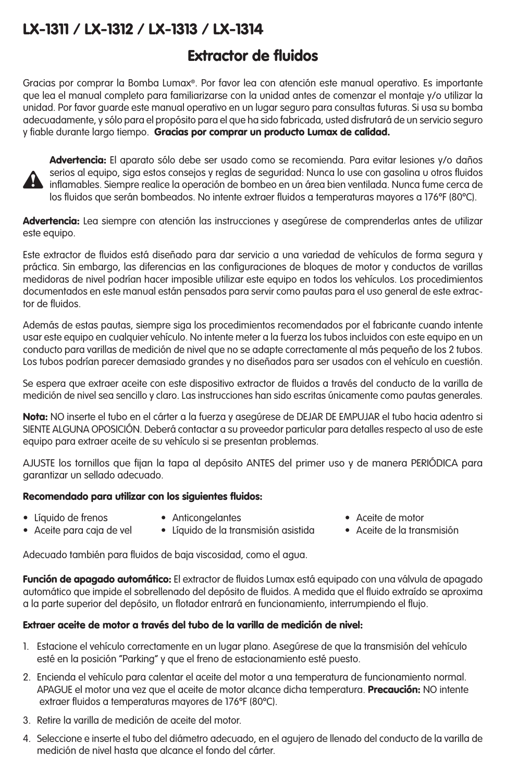# LX-1311 / LX-1312 / LX-1313 / LX-1314

# Extractor de fluidos

Gracias por comprar la Bomba Lumax®. Por favor lea con atención este manual operativo. Es importante que lea el manual completo para familiarizarse con la unidad antes de comenzar el montaje y/o utilizar la unidad. Por favor guarde este manual operativo en un lugar seguro para consultas futuras. Si usa su bomba adecuadamente, y sólo para el propósito para el que ha sido fabricada, usted disfrutará de un servicio seguro y fiable durante largo tiempo. Gracias por comprar un producto Lumax de calidad.



Advertencia: El aparato sólo debe ser usado como se recomienda. Para evitar lesiones y/o daños serios al equipo, siga estos consejos y reglas de seguridad: Nunca lo use con gasolina u otros fluidos  $\cdot$  inflamables. Siempre realice la operación de bombeo en un área bien ventilada. Nunca fume cerca de los fluidos que serán bombeados. No intente extraer fluidos a temperaturas mayores a 176ºF (80ºC).

Advertencia: Lea siempre con atención las instrucciones y asegúrese de comprenderlas antes de utilizar este equipo.

Este extractor de fluidos está diseñado para dar servicio a una variedad de vehículos de forma segura y práctica. Sin embargo, las diferencias en las configuraciones de bloques de motor y conductos de varillas medidoras de nivel podrían hacer imposible utilizar este equipo en todos los vehículos. Los procedimientos documentados en este manual están pensados para servir como pautas para el uso general de este extractor de fluidos.

Además de estas pautas, siempre siga los procedimientos recomendados por el fabricante cuando intente usar este equipo en cualquier vehículo. No intente meter a la fuerza los tubos incluidos con este equipo en un conducto para varillas de medición de nivel que no se adapte correctamente al más pequeño de los 2 tubos. Los tubos podrían parecer demasiado grandes y no diseñados para ser usados con el vehículo en cuestión.

Se espera que extraer aceite con este dispositivo extractor de fluidos a través del conducto de la varilla de medición de nivel sea sencillo y claro. Las instrucciones han sido escritas únicamente como pautas generales.

Nota: NO inserte el tubo en el cárter a la fuerza y asegúrese de DEJAR DE EMPUJAR el tubo hacia adentro si SIENTE ALGUNA OPOSICIÓN. Deberá contactar a su proveedor particular para detalles respecto al uso de este equipo para extraer aceite de su vehículo si se presentan problemas.

AJUSTE los tornillos que fijan la tapa al depósito ANTES del primer uso y de manera PERIÓDICA para garantizar un sellado adecuado.

### Recomendado para utilizar con los siguientes fluidos:

- Líquido de frenos Anticongelantes Aceite de motor
- 
- 
- Aceite para caja de vel Líquido de la transmisión asistida Aceite de la transmisión

Adecuado también para fluidos de baja viscosidad, como el agua.

Función de apagado automático: El extractor de fluidos Lumax está equipado con una válvula de apagado automático que impide el sobrellenado del depósito de fluidos. A medida que el fluido extraído se aproxima a la parte superior del depósito, un flotador entrará en funcionamiento, interrumpiendo el flujo.

### Extraer aceite de motor a través del tubo de la varilla de medición de nivel:

- 1. Estacione el vehículo correctamente en un lugar plano. Asegúrese de que la transmisión del vehículo esté en la posición "Parking" y que el freno de estacionamiento esté puesto.
- 2. Encienda el vehículo para calentar el aceite del motor a una temperatura de funcionamiento normal. APAGUE el motor una vez que el aceite de motor alcance dicha temperatura. **Precaución:** NO intente extraer fluidos a temperaturas mayores de 176ºF (80ºC).
- 3. Retire la varilla de medición de aceite del motor.
- 4. Seleccione e inserte el tubo del diámetro adecuado, en el agujero de llenado del conducto de la varilla de medición de nivel hasta que alcance el fondo del cárter.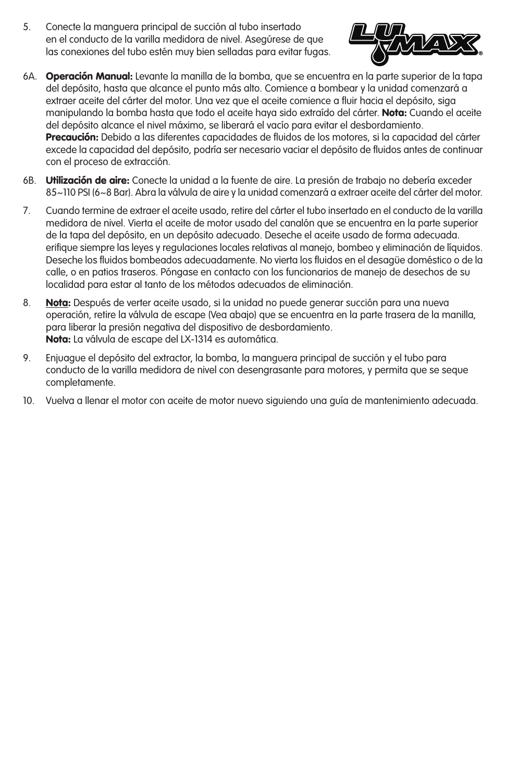5. Conecte la manguera principal de succión al tubo insertado en el conducto de la varilla medidora de nivel. Asegúrese de que las conexiones del tubo estén muy bien selladas para evitar fugas.



- 6A. Operación Manual: Levante la manilla de la bomba, que se encuentra en la parte superior de la tapa del depósito, hasta que alcance el punto más alto. Comience a bombear y la unidad comenzará a extraer aceite del cárter del motor. Una vez que el aceite comience a fluir hacia el depósito, siga manipulando la bomba hasta que todo el aceite haya sido extraído del cárter. Nota: Cuando el aceite del depósito alcance el nivel máximo, se liberará el vacío para evitar el desbordamiento. Precaución: Debido a las diferentes capacidades de fluidos de los motores, si la capacidad del cárter excede la capacidad del depósito, podría ser necesario vaciar el depósito de fluidos antes de continuar con el proceso de extracción.
- 6B. Utilización de aire: Conecte la unidad a la fuente de aire. La presión de trabajo no debería exceder 85~110 PSI (6~8 Bar). Abra la válvula de aire y la unidad comenzará a extraer aceite del cárter del motor.
- 7. Cuando termine de extraer el aceite usado, retire del cárter el tubo insertado en el conducto de la varilla medidora de nivel. Vierta el aceite de motor usado del canalón que se encuentra en la parte superior de la tapa del depósito, en un depósito adecuado. Deseche el aceite usado de forma adecuada. erifique siempre las leyes y regulaciones locales relativas al manejo, bombeo y eliminación de líquidos. Deseche los fluidos bombeados adecuadamente. No vierta los fluidos en el desagüe doméstico o de la calle, o en patios traseros. Póngase en contacto con los funcionarios de manejo de desechos de su localidad para estar al tanto de los métodos adecuados de eliminación.
- 8. Nota: Después de verter aceite usado, si la unidad no puede generar succión para una nueva operación, retire la válvula de escape (Vea abajo) que se encuentra en la parte trasera de la manilla, para liberar la presión negativa del dispositivo de desbordamiento. Nota: La válvula de escape del LX-1314 es automática.
- 9. Enjuague el depósito del extractor, la bomba, la manguera principal de succión y el tubo para conducto de la varilla medidora de nivel con desengrasante para motores, y permita que se seque completamente.
- 10. Vuelva a llenar el motor con aceite de motor nuevo siguiendo una guía de mantenimiento adecuada.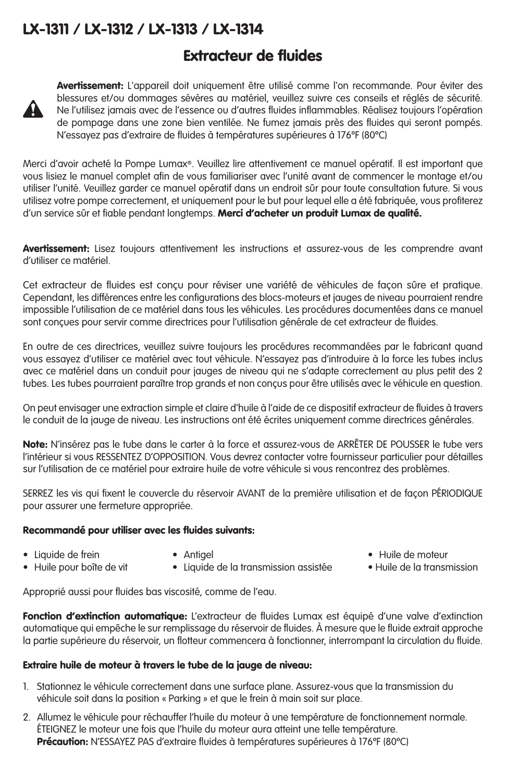## LX-1311 / LX-1312 / LX-1313 / LX-1314

## Extracteur de fluides



Avertissement: L'appareil doit uniquement être utilisé comme l'on recommande. Pour éviter des blessures et/ou dommages sévères au matériel, veuillez suivre ces conseils et réglés de sécurité. Ne l'utilisez jamais avec de l'essence ou d'autres fluides inflammables. Réalisez toujours l'opération de pompage dans une zone bien ventilée. Ne fumez jamais près des fluides qui seront pompés. N'essayez pas d'extraire de fluides à températures supérieures à 176ºF (80ºC)

Merci d'avoir acheté la Pompe Lumax®. Veuillez lire attentivement ce manuel opératif. Il est important que vous lisiez le manuel complet afin de vous familiariser avec l'unité avant de commencer le montage et/ou utiliser l'unité. Veuillez garder ce manuel opératif dans un endroit sûr pour toute consultation future. Si vous utilisez votre pompe correctement, et uniquement pour le but pour lequel elle a été fabriquée, vous profiterez d'un service sûr et fiable pendant longtemps. Merci d'acheter un produit Lumax de qualité.

Avertissement: Lisez toujours attentivement les instructions et assurez-vous de les comprendre avant d'utiliser ce matériel.

Cet extracteur de fluides est conçu pour réviser une variété de véhicules de façon sûre et pratique. Cependant, les différences entre les configurations des blocs-moteurs et jauges de niveau pourraient rendre impossible l'utilisation de ce matériel dans tous les véhicules. Les procédures documentées dans ce manuel sont concues pour servir comme directrices pour l'utilisation générale de cet extracteur de fluides.

En outre de ces directrices, veuillez suivre toujours les procédures recommandées par le fabricant quand vous essayez d'utiliser ce matériel avec tout véhicule. N'essayez pas d'introduire à la force les tubes inclus avec ce matériel dans un conduit pour jauges de niveau qui ne s'adapte correctement au plus petit des 2 tubes. Les tubes pourraient paraître trop grands et non conçus pour être utilisés avec le véhicule en question.

On peut envisager une extraction simple et claire d'huile à l'aide de ce dispositif extracteur de fluides à travers le conduit de la jauge de niveau. Les instructions ont été écrites uniquement comme directrices générales.

Note: N'insérez pas le tube dans le carter à la force et assurez-vous de ARRÊTER DE POUSSER le tube vers l'intérieur si vous RESSENTEZ D'OPPOSITION. Vous devrez contacter votre fournisseur particulier pour détailles sur l'utilisation de ce matériel pour extraire huile de votre véhicule si vous rencontrez des problèmes.

SERREZ les vis qui fixent le couvercle du réservoir AVANT de la première utilisation et de façon PÉRIODIQUE pour assurer une fermeture appropriée.

#### Recommandé pour utiliser avec les fluides suivants:

- 
- 
- 
- 
- 
- Liquide de frein Antigel Huile de moteur • Liquide de la transmission assistée

Approprié aussi pour fluides bas viscosité, comme de l'eau.

Fonction d'extinction automatique: L'extracteur de fluides Lumax est équipé d'une valve d'extinction automatique qui empêche le sur remplissage du réservoir de fluides. À mesure que le fluide extrait approche la partie supérieure du réservoir, un flotteur commencera à fonctionner, interrompant la circulation du fluide.

### Extraire huile de moteur à travers le tube de la jauge de niveau:

- 1. Stationnez le véhicule correctement dans une surface plane. Assurez-vous que la transmission du véhicule soit dans la position « Parking » et que le frein à main soit sur place.
- 2. Allumez le véhicule pour réchauffer l'huile du moteur à une température de fonctionnement normale. ÉTEIGNEZ le moteur une fois que l'huile du moteur aura atteint une telle température. Précaution: N'ESSAYEZ PAS d'extraire fluides à températures supérieures à 176°F (80°C)